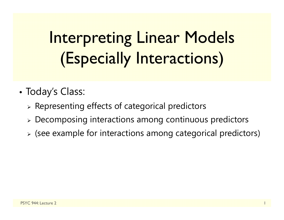# Interpreting Linear Models (Especially Interactions)

- • Today's Class:
	- $\triangleright$  Representing effects of categorical predictors
	- Decomposing interactions among continuous predictors
	- $\triangleright$  (see example for interactions among categorical predictors)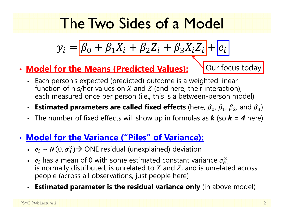### The Two Sides of a Model

$$
y_i = \boxed{\beta_0 + \beta_1 X_i + \beta_2 Z_i + \beta_3 X_i Z_i} + \boxed{e_i}
$$

• **Model for the Means (Predicted Values):**

Our focus today

- Each person's expected (predicted) outcome is a weighted linear function of his/her values on X and Z (and here, their interaction), each measured once per person (i.e., this is a between-person model)
- •**• Estimated parameters are called fixed effects** (here,  $\beta_0$ ,  $\beta_1$ ,  $\beta_2$ , and  $\beta_3$ )
- The number of fixed effects will show up in formulas as *k* (so *k = 4* here)

#### • **Model for the Variance ("Piles" of Variance):**

- $e_i \sim N(0, \sigma_e^2)$   $\rightarrow$  ONE residual (unexplained) deviation
- $e_i$  has a mean of 0 with some estimated constant variance  $\sigma_e^2$ , is normally distributed, is unrelated to  $X$  and  $Z$ , and is unrelated across  $\,$ people (across all observations, just people here)
- •**Estimated parameter is the residual variance only** (in above model)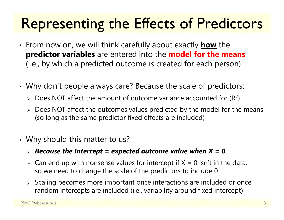### Representing the Effects of Predictors

- From now on, we will think carefully about exactly **how** the **predictor variables** are entered into the **model for the means**  (i.e., by which a predicted outcome is created for each person)
- • Why don't people always care? Because the scale of predictors:
	- $\triangleright$  Does NOT affect the amount of outcome variance accounted for (R<sup>2</sup>)
	- $\triangleright\;$  Does NOT affect the outcomes values predicted by the model for the means (so long as the same predictor fixed effects are included)
- • Why should this matter to us?
	- *Because the Intercept = expected outcome value when X = 0*
	- $\triangleright$  Can end up with nonsense values for intercept if X = 0 isn't in the data, so we need to change the scale of the predictors to include 0
	- $\triangleright$  Scaling becomes more important once interactions are included or once random intercepts are included (i.e., variability around fixed intercept)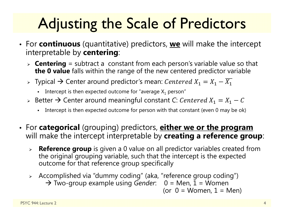## Adjusting the Scale of Predictors

- For **continuous** (quantitative) predictors, **we** will make the intercept interpretable by **centering**:
	- **Centering** = subtract a constant from each person's variable value so that **the 0 value** falls within the range of the new centered predictor variable
	- $\triangleright$  Typical  $\rightarrow$  Center around predictor's mean:  $\mathit{Centered}\ X_1=X_1-X_1$ 
		- Intercept is then expected outcome for "average  $X_1$  person"
	- $\triangleright$  Better  $\rightarrow$  Center around meaningful constant C:  $\mathit{Centered}\ X_1=X_1-\mathit{C}$ 
		- Г Intercept is then expected outcome for person with that constant (even 0 may be ok)
- For **categorical** (grouping) predictors, **either we or the program** will make the intercept interpretable by **creating a reference group**:
	- $\blacktriangleright$  **Reference group** is given a 0 value on all predictor variables created from the original grouping variable, such that the intercept is the expected outcome for that reference group specifically
	- Accomplished via "dummy coding" (aka, "reference group coding") → Two-group example using *Gender*: 0 = Men, 1 = Women (or  $0 =$  Women,  $1 =$  Men)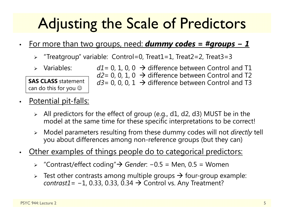### Adjusting the Scale of Predictors

- • For more than two groups, need: *dummy codes = #groups − 1*
	- $\blacktriangleright$ "Treatgroup" variable: Control=0, Treat1=1, Treat2=2, Treat3=3
	- $\triangleright$  Variables:

**SAS CLASS** statement can do this for you  $\mathbb{\odot}$ 

- $\triangleright$  Variables:  $d1 = 0, 1, 0, 0 \rightarrow$  difference between Control and T1 *d2*= 0, 0, 1, 0  $\,\rightarrow$  difference between Control and T2 *d3* = 0, 0, 0, 1  $\,\rightarrow$  difference between Control and T3
- •Potential pit-falls:
	- $\triangleright$  All predictors for the effect of group (e.g., d1, d2, d3) MUST be in the model at the same time for these specific interpretations to be correct!
	- $\blacktriangleright$  Model parameters resulting from these dummy codes will not *directly* tell you about differences among non-reference groups (but they can)
- • Other examples of things people do to categorical predictors:
	- "Contrast/effect coding" *Gender*: −0.5 = Men, 0.5 = Women
	- $\blacktriangleright$  $\triangleright$  Test other contrasts among multiple groups  $\rightarrow$  four-group example: *contrast1*= -1, 0.33, 0.33, 0.34 → Control vs. Any Treatment?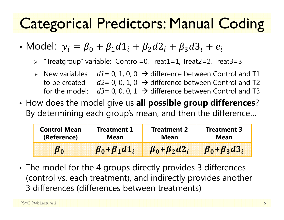### Categorical Predictors: Manual Coding

• Model:  $y_i = \beta_0 + \beta_1d1_i + \beta_2d2_i + \beta_3d3_i + e_i$ 

"Treatgroup" variable: Control=0, Treat1=1, Treat2=2, Treat3=3

- $\triangleright$  New variables  $dl = 0, 1, 0, 0 \rightarrow$  difference between Control and T1 to be created  $d2=0$ , 0, 1, 0  $\rightarrow$  difference between Control and T2 for the model:  $d3=0$ , 0, 0, 1  $\rightarrow$  difference between Control and T3
- • How does the model give us **all possible group differences**? By determining each group's mean, and then the difference…

| <b>Control Mean</b> | <b>Treatment 1</b>      | <b>Treatment 2</b>       | <b>Treatment 3</b>       |
|---------------------|-------------------------|--------------------------|--------------------------|
| (Reference)         | Mean                    | Mean                     | Mean                     |
|                     | $\beta_0 + \beta_1 d_1$ | $\beta_0 + \beta_2 d2_i$ | $\beta_0 + \beta_3 d3_i$ |

• The model for the 4 groups directly provides 3 differences (control vs. each treatment), and indirectly provides another 3 differences (differences between treatments)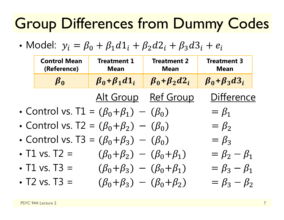### Group Differences from Dummy Codes

• Model:  $y_i = \beta_0 + \beta_1d1_i + \beta_2d2_i + \beta_3d3_i + e_i$ 

| <b>Control Mean</b><br>(Reference) | Treatment 1<br><b>Mean</b>                           | <b>Treatment 2</b><br><b>Mean</b> | <b>Treatment 3</b><br><b>Mean</b> |
|------------------------------------|------------------------------------------------------|-----------------------------------|-----------------------------------|
| $\beta_0$                          | $\beta_0 + \beta_1 d_1$                              | $\beta_0 + \beta_2 d2_i$          | $\beta_0 + \beta_3 d_3$           |
|                                    |                                                      | Alt Group Ref Group               | <b>Difference</b>                 |
|                                    | • Control vs. T1 = $(\beta_0 + \beta_1) - (\beta_0)$ |                                   | $=\beta_1$                        |
|                                    | • Control vs. T2 = $(\beta_0 + \beta_2) - (\beta_0)$ |                                   | $=\beta_2$                        |
|                                    | • Control vs. T3 = $(\beta_0 + \beta_3) - (\beta_0)$ |                                   | $=\beta_3$                        |
| • T1 vs. T2 =                      | $(\beta_0 + \beta_2) - (\beta_0 + \beta_1)$          |                                   | $=\beta_2-\beta_1$                |
| • T1 vs. T3 =                      | $(\beta_0 + \beta_3) - (\beta_0 + \beta_1)$          |                                   | $=\beta_3-\beta_1$                |
| • T2 vs. T3 =                      | $(\beta_0 + \beta_3) - (\beta_0 + \beta_2)$          |                                   | $=\beta_3-\beta_2$                |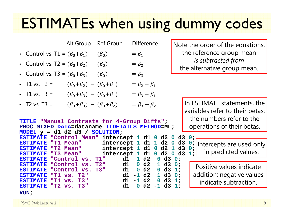#### ESTIMATEs when using dummy codes

|                                                                             |                                             | Alt Group Ref Group | <b>Difference</b>                          |    | Note the order of the equations:                               |
|-----------------------------------------------------------------------------|---------------------------------------------|---------------------|--------------------------------------------|----|----------------------------------------------------------------|
| • Control vs. T1 = $(\beta_0 + \beta_1) - (\beta_0)$                        |                                             |                     | $= \beta_1$                                |    | the reference group mean                                       |
| • Control vs. T2 = $(\beta_0 + \beta_2) - (\beta_0)$                        |                                             |                     | $=\beta_2$                                 |    | is subtracted from<br>the alternative group mean.              |
| • Control vs. T3 = $(\beta_0 + \beta_3) - (\beta_0)$                        |                                             |                     | $=\beta_3$                                 |    |                                                                |
| • T1 vs. $T2 =$                                                             | $(\beta_0 + \beta_2) - (\beta_0 + \beta_1)$ |                     | $= \beta_2 - \beta_1$                      |    |                                                                |
| • T1 vs. T3 =                                                               | $(\beta_0 + \beta_3) - (\beta_0 + \beta_1)$ |                     | $=\beta_3-\beta_1$                         |    |                                                                |
| • T2 vs. T3 =                                                               | $(\beta_0 + \beta_3) - (\beta_0 + \beta_2)$ |                     | $= \beta_3 - \beta_2$                      |    | In ESTIMATE statements, the<br>variables refer to their betas; |
| the numbers refer to the<br>TITLE "Manual Contrasts for 4-Group Diffs";     |                                             |                     |                                            |    |                                                                |
| operations of their betas.<br>PROC MIXED DATA=dataname ITDETAILS METHOD=ML; |                                             |                     |                                            |    |                                                                |
| MODEL $y = d1 d2 d3 / SOLUTION$ ;                                           |                                             |                     |                                            |    |                                                                |
| <b>ESTIMATE</b>                                                             |                                             |                     | "Control Mean" intercept 1 d1 0 d2 0 d3 0; |    |                                                                |
| <b>ESTIMATE</b>                                                             | "T1 Mean"                                   |                     | intercept $1$ d $1$ $1$ d $2$ $0$ d $3$    |    | O i Intercepts are used only                                   |
| <b>ESTIMATE</b>                                                             | "T2 Mean"                                   |                     | intercept 1 d1 0 d2 1 d3                   |    | 0:                                                             |
| <b>ESTIMATE</b>                                                             | "T3 Mean"                                   |                     | intercept 1 d1 0 d2 0                      | d3 | in predicted values.<br>1;                                     |

**1 d2** 

**0 d2** 

**0 d2** 

**1 d2** 

**1 d2** 

**0 d3 0 ;**

**1 d3 0 ;**

**0 d3 1 ;**

**1 d3 0 ;**

**0 d3 1 ;**

**0 d2 - 1 d3 1;**

Positive values indicate addition; negative values indicate subtraction.

**RUN ;**

**ESTIMATE "Control vs. T1" d1** 

**ESTIMATE "Control vs. T2" d1** 

**ESTIMATE "Control vs. T3" d1** 

**ESTIMATE "T1 vs. T2" d1 -**

**ESTIMATE "T1 vs. T3" d1 -**

**ESTIMATE "T2 vs. T3" d1**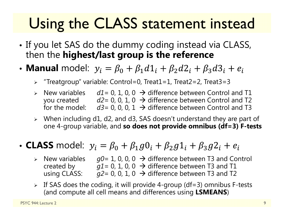### Using the CLASS statement instead

- • $\bullet$  If you let SAS do the dummy coding instead via CLASS,  $\,$ then the **highest/last group is the reference**
- Manual model:  $y_i = \beta_0 + \beta_1d1_i + \beta_2d2_i + \beta_3d3_i + e_i$ 
	- $\blacktriangleright$ "Treatgroup" variable: Control=0, Treat1=1, Treat2=2, Treat3=3
	- $\triangleright$  New variables  $dl = 0, 1, 0, 0 \rightarrow$  difference between Control and T1 you created *d2*= 0, 0, 1, 0 → difference between Control and T2 for the model:  $d3$ = 0, 0, 0, 1  $\,\rightarrow$  difference between Control and T3
	- When including d1, d2, and d3, SAS doesn't understand they are part of one 4-group variable, and **so does not provide omnibus (df=3) F-tests**
- CLASS model:  $y_i = \beta_0 + \beta_1 g \mathbb{0}_i + \beta_2 g \mathbb{1}_i + \beta_3 g \mathbb{2}_i + e_i$ 
	- $\triangleright$  New variables  $\triangleright$  New variables  $g0 = 1, 0, 0, 0 \rightarrow$  difference between T3 and Control created by  $\qquad \qquad g1$ = 0, 1, 0, 0  $\;\rightarrow$  difference between T3 and T1 using CLASS:  $\rightarrow$  difference between T3 and T2
	- $\triangleright$  If SAS does the coding, it will provide 4-group (df=3) omnibus F-tests (and compute all cell means and differences using **LSMEANS**)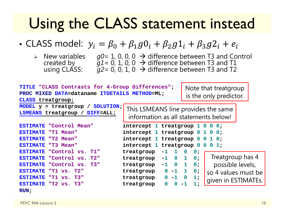#### Using the CLASS statement instead

- CLASS model:  $y_i = \beta_0 + \beta_1 g 0_i + \beta_2 g 1_i + \beta_3 g 2_i + e_i$ 
	-

 $\triangleright$  New variables  $g0 = 1, 0, 0, 0 \rightarrow$  difference between T3 and Control created by  $\hspace{1.5cm} g1$  = 0, 1, 0, 0  $\, \rightarrow \,$  difference between T3 and T1 using CLASS: *g2*= 0, 0, 1, 0 difference between T3 and T2

| SOLUTION;<br>MODEL $y =$ treatgroup /<br>This LSMEANS line provides the same<br>LSMEANS treatgroup /<br>DIFF=ALL;<br>information as all statements below!<br>ESTIMATE "Control Mean"<br>intercept 1 treatgroup $1\ 0\ 0\ 0;$<br>intercept 1 treatgroup $0$ 1 0 0;<br>ESTIMATE "T1 Mean"<br>intercept 1 treatgroup $0 \t0 \t1 \t0$ ;<br>ESTIMATE "T2 Mean"<br>intercept 1 treatgroup 0<br>ESTIMATE "T3 Mean"<br>$\mathbf{O}$<br>$0\;1$ ;<br>ESTIMATE "Control vs. T1"<br>treatgroup<br>$-1$<br>0<br>0;<br>Treatgroup has 4<br>$\mathbf 0$<br>$\mathbf{1}$<br>ESTIMATE "Control vs.<br>T2"<br>treatgroup<br>$-1$<br>0:<br>possible levels,<br>$\mathbf 0$<br>ESTIMATE "Control vs. T3"<br>1<br>0;<br>treatgroup<br>$-1$<br>$\mathbf{1}$<br>ESTIMATE "T1 vs. T2"<br>treatgroup<br>$0 - 1$<br>0;<br>so 4 values must be<br>ESTIMATE "T1 vs. T3"<br>$0 - 1$<br>$\overline{\mathbf{0}}$<br>1;<br>treatgroup<br>given in ESTIMATEs.<br>$1$ ;<br>ESTIMATE "T2 vs. T3"<br>treatgroup<br>0 | TITLE "CLASS Contrasts for 4-Group Differences";<br>PROC MIXED DATA=dataname ITDETAILS METHOD=ML;<br>CLASS treatgroup; |  | Note that treatgroup<br>is the only predictor. |  |
|----------------------------------------------------------------------------------------------------------------------------------------------------------------------------------------------------------------------------------------------------------------------------------------------------------------------------------------------------------------------------------------------------------------------------------------------------------------------------------------------------------------------------------------------------------------------------------------------------------------------------------------------------------------------------------------------------------------------------------------------------------------------------------------------------------------------------------------------------------------------------------------------------------------------------------------------------------------------------------|------------------------------------------------------------------------------------------------------------------------|--|------------------------------------------------|--|
|                                                                                                                                                                                                                                                                                                                                                                                                                                                                                                                                                                                                                                                                                                                                                                                                                                                                                                                                                                                  |                                                                                                                        |  |                                                |  |
|                                                                                                                                                                                                                                                                                                                                                                                                                                                                                                                                                                                                                                                                                                                                                                                                                                                                                                                                                                                  |                                                                                                                        |  |                                                |  |
|                                                                                                                                                                                                                                                                                                                                                                                                                                                                                                                                                                                                                                                                                                                                                                                                                                                                                                                                                                                  |                                                                                                                        |  |                                                |  |
|                                                                                                                                                                                                                                                                                                                                                                                                                                                                                                                                                                                                                                                                                                                                                                                                                                                                                                                                                                                  |                                                                                                                        |  |                                                |  |
|                                                                                                                                                                                                                                                                                                                                                                                                                                                                                                                                                                                                                                                                                                                                                                                                                                                                                                                                                                                  |                                                                                                                        |  |                                                |  |
| RUN:                                                                                                                                                                                                                                                                                                                                                                                                                                                                                                                                                                                                                                                                                                                                                                                                                                                                                                                                                                             |                                                                                                                        |  |                                                |  |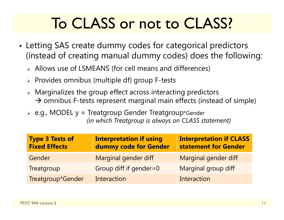### To CLASS or not to CLASS?

- • Letting SAS create dummy codes for categorical predictors (instead of creating manual dummy codes) does the following:
	- Allows use of LSMEANS (for cell means and differences)
	- $\triangleright$  Provides omnibus (multiple df) group F-tests
	- $\triangleright$  Marginalizes the group effect across interacting predictors  $\rightarrow$  omnibus F-tests represent marginal main effects (instead of simple)
	- e.g., MODEL y = Treatgroup Gender Treatgroup\*Gender *(in which Treatgroup is always on CLASS statement)*

| <b>Type 3 Tests of</b><br><b>Fixed Effects</b> | <b>Interpretation if using</b><br>dummy code for Gender | <b>Interpretation if CLASS</b><br>statement for Gender |
|------------------------------------------------|---------------------------------------------------------|--------------------------------------------------------|
| Gender                                         | Marginal gender diff                                    | Marginal gender diff                                   |
| Treatgroup                                     | Group diff if gender=0                                  | Marginal group diff                                    |
| Treatgroup*Gender                              | Interaction                                             | Interaction                                            |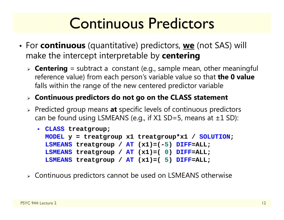#### Continuous Predictors

- For **continuous** (quantitative) predictors, **we** (not SAS) will make the intercept interpretable by **centering**
	- **Centering** = subtract a constant (e.g., sample mean, other meaningful reference value) from each person's variable value so that **the 0 value**  falls within the range of the new centered predictor variable
	- **Continuous predictors do not go on the CLASS statement**
	- Predicted group means **at** specific levels of continuous predictors can be found using LSMEANS (e.g., if  $X1$  SD=5, means at  $\pm 1$  SD):

```
 CLASS treatgroup;
  MODEL y = treatgroup x1 treatgroup*x1 / SOLUTION
;
  LSMEANS treatgroup / AT (x1)=(-
5) DIFF=ALL;
  LSMEANS treatgroup / AT (x1)=( 
0) DIFF=ALL;
  LSMEANS treatgroup / AT (x1)=( 
5) DIFF=ALL;
```
Continuous predictors cannot be used on LSMEANS otherwise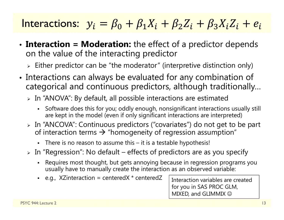#### Interactions:  ${\color{black} y_i = \beta_0 + \beta_1 X_i + \beta_2 Z_i + \beta_3 X_i Z_i + e_i}$

- • **Interaction = Moderation:** the effect of a predictor depends on the value of the interacting predictor
	- $\triangleright$  Either predictor can be "the moderator" (interpretive distinction only)
- • Interactions can always be evaluated for any combination of categorical and continuous predictors, although traditionally…
	- $\triangleright$  In "ANOVA": By default, all possible interactions are estimated
		- n Software does this for you; oddly enough, nonsignificant interactions usually still are kept in the model (even if only significant interactions are interpreted)
	- In "ANCOVA": Continuous predictors ("covariates") do not get to be part of interaction terms  $\bm{\rightarrow}$  "homogeneity of regression assumption"
		- There is no reason to assume this it is a testable hypothesis!
	- $\triangleright$  In "Regression": No default effects of predictors are as you specify
		- n Requires most thought, but gets annoying because in regression programs you usually have to manually create the interaction as an observed variable:
		- e.g., XZinteraction = centeredX \* centeredZ

Interaction variables are created for you in SAS PROC GLM, MIXED, and GLIMMIX  $\odot$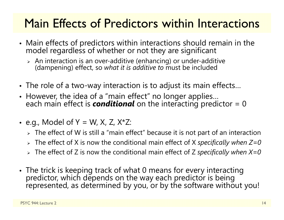#### Main Effects of Predictors within Interactions

- Main effects of predictors within interactions should remain in the model regardless of whether or not they are significant
	- > An interaction is an over-additive (enhancing) or under-additive (dampening) effect, so *what it is additive to* must be included
- The role of a two-way interaction is to adjust its main effects…
- However, the idea of a "main effect" no longer applies… each main effect is *conditional* on the interacting predictor = 0
- e.g., Model of Y = W, X, Z, X\*Z:
	- $\triangleright\;$  The effect of W is still a "main effect" because it is not part of an interaction
	- The effect of X is now the conditional main effect of X *specifically when Z=0*
	- The effect of Z is now the conditional main effect of Z *specifically when X=0*
- The trick is keeping track of what 0 means for every interacting predictor, which depends on the way each predictor is being<br>represented, as determined by you, or by the software without you!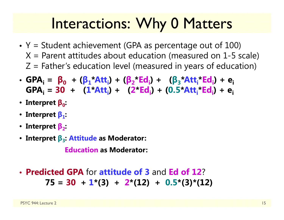#### Interactions: Why 0 Matters

- Y = Student achievement (GPA as percentage out of 100)  $X$  = Parent attitudes about education (measured on 1-5 scale)  $Z$  = Father's education level (measured in years of education)
- GPA<sub>i</sub> =  $\beta_0$  + ( $\beta_1^*$ Att<sub>i</sub>) + ( $\beta_2^*$ Ed<sub>i</sub>) + ( $\beta_3^*$ Att<sub>i</sub>\*Ed<sub>i</sub>) + e<sub>i</sub> **GPAi = 30 + ( 1 \*Atti) + ( 2 \*Edi) + (0.5 \*Atti\*Edi) + ei**
- **Interpret β 0:**
- **Interpret β 1:**
- **Interpret β <sup>2</sup>:**
- **Interpret β <sup>3</sup>: Attitude as Moderator:**

**Education as Moderator:**

• **Predicted GPA** for **attitude of 3** and **Ed of 12** ?**75 = 30 + 1\*(3) + 2\*(12) + 0.5\*(3)\*(12)**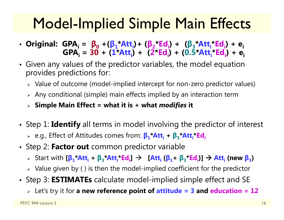#### Model-Implied Simple Main Effects

- **Original: GPAi <sup>=</sup> β 0 +( β 1\*Atti)+ ( β 2\*Edi) + ( β 3\*Atti\*Edi) + eiGPAi = 30 + ( 1 \*Atti) + ( 2 \*Edi) + (0.5 \*Atti\*Edi) + ei**
- Given any values of the predictor variables, the model equation provides predictions for:
	- $\triangleright$   $\,$  Value of outcome (model-implied intercept for non-zero predictor values)
	- $\triangleright$  Any conditional (simple) main effects implied by an interaction term
	- **Simple Main Effect = what it is + what** *modifies* **it**
- Step 1: **Identify** all terms in model involving the predictor of interest
	- e.g., Effect of Attitudes comes from: **β 1\*Atti <sup>+</sup> β 3\*Atti\*Edi**
- Step 2: **Factor out** common predictor variable
	- > Start with [β<sub>1</sub>\*Att<sub>i</sub> + β<sub>3</sub>\*Att<sub>i</sub>\*Ed<sub>i</sub>] → [Att<sub>i</sub> (β<sub>1</sub>+ β<sub>3</sub>\*Ed<sub>i</sub>)] → Att<sub>i</sub> (new β<sub>1</sub>)
	- $\triangleright$  Value given by ( ) is then the model-implied coefficient for the predictor
- Step 3: **ESTIMATEs** calculate model-implied simple effect and SE
	- Let's try it for **a new reference point of attitude = 3 and education = 12**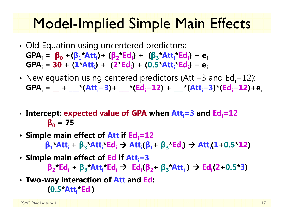#### Model-Implied Simple Main Effects

- Old Equation using uncentered predictors:  $GPA_i = \beta_0 + (\beta_1 * Att_i) + (\beta_2 * Ed_i) + (\beta_3 * Att_i * Ed_i) + e_i$ **GPAi = 30 + ( 1 \*Atti) + ( 2 \*Edi) + (0.5 \*Atti\*Edi) + ei**
- New equation using centered predictors (Att<sub>i</sub>−3 and Ed<sub>i</sub>−12): **GPAi = \_\_ + \_\_\_\*(Atti − 3)+ \_\_\_\*(Edi<sup>−</sup>12) + \_\_\_\*(Atti− 3)\*(Edi−12)+ei**
- Intercept: expected value of GPA when Att<sub>i</sub>=3 and Ed<sub>i</sub>=12 **β 0 = 75**
- Simple main effect of Att if Ed<sub>i</sub>=12  $\beta_1$ **\*Att**<sub>i</sub> +  $\beta_3$ **\*Att**<sub>i</sub>**\*Ed**<sub>i</sub>  $\rightarrow$  Att<sub>i</sub>( $\beta_1$ +  $\beta_3$ **\*Ed**<sub>i</sub>)  $\rightarrow$  Att<sub>i</sub>(1+0.5**\*12**)
- Simple main effect of Ed if Att<sub>i</sub>=3  $\beta_2$ **\*Ed**<sub>i</sub> +  $\beta_3$ **\*Att**<sub>i</sub>**\*Ed**<sub>i</sub>  $\rightarrow$  Ed<sub>i</sub>( $\beta_2$ +  $\beta_3$ **\*Att**<sub>i</sub>)  $\rightarrow$  Ed<sub>i</sub>(2+0.5 **\*3 )**
- **Two-way interaction of Att and Ed: (0.5 \*Atti\*Edi)**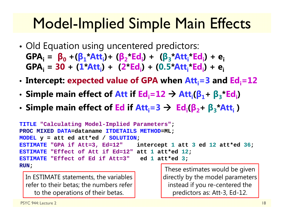### Model-Implied Simple Main Effects

- • Old Equation using uncentered predictors:  $GPA_i = \beta_0 + (\beta_1 * Att_i) + (\beta_2 * Ed_i) + (\beta_3 * Att_i * Ed_i) + e_i$ **GPAi = 30 + ( 1 \*Atti) + ( 2 \*Edi) + (0.5 \*Atti\*Edi) + ei**
- •• Intercept: expected value of GPA when Att<sub>i</sub>=3 and Ed<sub>i</sub>=12
- •**• Simple main effect of Att if Ed** $_i$ **=12**  $\rightarrow$  **Att** $_i$ **(** $\beta_1$ **+**  $\beta_3$ **\*Ed** $_i$ **)**
- Simple main effect of Ed if  $Att_i = 3 \rightarrow Ed_i(\beta_2 + \beta_3 * Att_i)$

```
TITLE "Calculating Model-Implied Parameters"
;
PROC MIXED DATA=dataname ITDETAILS METHOD=ML;
MODEL y = att ed att*ed / SOLUTION
;
ESTIMATE "GPA if Att=3, Ed=12" intercept 
                                             1 att 
3 ed 12 att*ed 36
;
ESTIMATE "Effect of Att if Ed=12" att
1 att*ed 12
;
ESTIMATE "Effect of Ed if Att=3" ed
1 att*ed
3
;
RUN;
```
In ESTIMATE statements, the variables refer to their betas; the numbers refer to the operations of their betas.

These estimates would be given directly by the model parameters instead if you re-centered the predictors as: Att-3, Ed-12.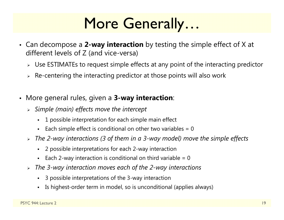#### More Generally…

- Can decompose a **2-way interaction** by testing the simple effect of X at different levels of Z (and vice-versa)
	- $\triangleright$  Use ESTIMATEs to request simple effects at any point of the interacting predictor
	- $\triangleright$   $\,$  Re-centering the interacting predictor at those points will also work
- More general rules, given a **3-way interaction**:
	- *Simple (main) effects move the intercept*
		- 1 possible interpretation for each simple main effect
		- n Each simple effect is conditional on other two variables  $= 0$
	- *The 2-way interactions (3 of them in a 3-way model) move the simple effects*
		- 2 possible interpretations for each 2-way interaction
		- $\blacksquare$ Each 2-way interaction is conditional on third variable  $= 0$
	- *The 3-way interaction moves each of the 2-way interactions*
		- 3 possible interpretations of the 3-way interaction
		- n Is highest-order term in model, so is unconditional (applies always)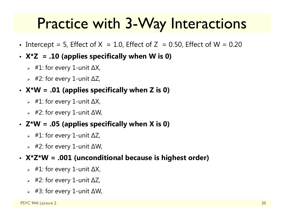#### Practice with 3-Way Interactions

- Intercept = 5, Effect of X  $= 1.0$ , Effect of Z  $= 0.50$ , Effect of W  $= 0.20$
- **X\*Z = .10 (applies specifically when W is 0)**
	- #1: for every 1-unit ∆X,
	- #2: for every 1-unit ∆Z,
- **X\*W = .01 (applies specifically when Z is 0)**
	- #1: for every 1-unit ∆X,
	- #2: for every 1-unit ∆W,
- **Z\*W = .05 (applies specifically when X is 0)**
	- #1: for every 1-unit ∆Z,
	- #2: for every 1-unit ∆W,
- **X\*Z\*W = .001 (unconditional because is highest order)**
	- #1: for every 1-unit ∆X,
	- #2: for every 1-unit ∆Z,
	- #3: for every 1-unit ∆W,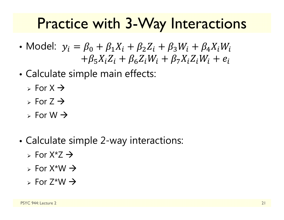#### Practice with 3-Way Interactions

- Model:  $y_i = \beta_0 + \beta_1 X_i + \beta_2 Z_i + \beta_3 W_i + \beta_4 X_i W_i$  $5\Lambda_i$  $\Delta_i$  T  $p_6$  $\Delta_i$ vv $_i$  T  $p_7$  $\Lambda_i$  $\Delta_i$ vv $_i$  T  $e_i$
- • Calculate simple main effects:
	- $\triangleright$  For X  $\rightarrow$
	- $\triangleright$  For Z  $\rightarrow$
	- $\triangleright$  For W  $\rightarrow$
- • Calculate simple 2-way interactions:
	- $\triangleright$  For X\*Z  $\rightarrow$
	- $\triangleright$  For X\*W  $\rightarrow$
	- $\triangleright$  For Z\*W  $\rightarrow$